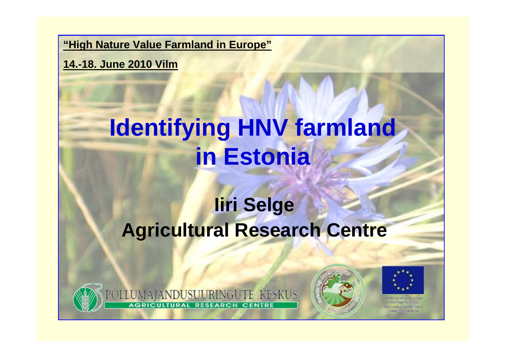**"High Nature Value Farmland in Europe"**

**14.-18. June 2010 Vilm**

# **Identifying HNV farmland in Estonia**

### **Iiri Selge Agricultural Research Centre**



POLLUMAJANDUSUURINGUTE KESKUS **RESEARCH CENTRE** 





esteennour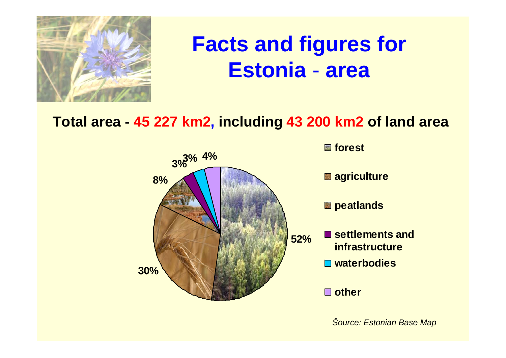

#### **Facts and figures for Estoniaarea**

### **Total area - 45 227 km2, including 43 200 km2 of land area**



*Šource: Estonian Base Map*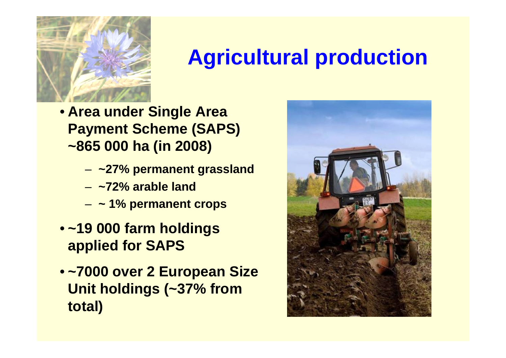

### **Agricultural production**

- **Area under Single Area Payment Scheme (SAPS) ~865 000 ha (in 2008)**
	- –**~27% permanent grassland**
	- **~72% arable land**
	- **~ 1% permanent crops**
- **~19 000 farm holdings applied for SAPS**
- **~7000 over 2 European Size Unit holdings (~37% from total)**

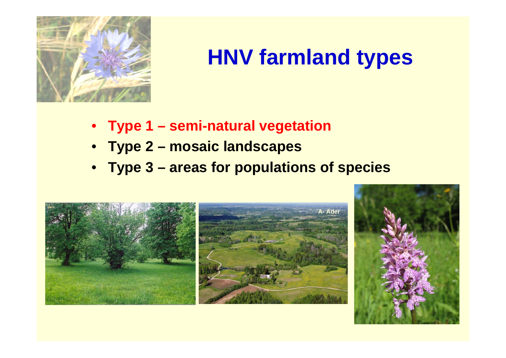

## **HNV farmland types**

- **Type 1 – semi-natural vegetation**
- **Type 2 – mosaic landscapes**
- **Type 3 – areas for populations of species**

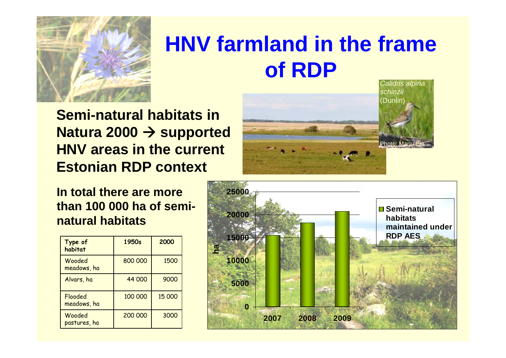

### **HNV farmland in the frame of RDP**

**Semi-natural habitats in Natura 2000 → supported HNV areas in the current Estonian RDP context**

#### **In total there are more than 100 000 ha of seminatural habitats**

| Type of<br>habitat     | 1950s   | 2000   |
|------------------------|---------|--------|
| Wooded<br>meadows, ha  | 800 000 | 1500   |
| Alvars, ha             | 44 000  | 9000   |
| Flooded<br>meadows, ha | 100 000 | 15 000 |
| Wooded<br>pastures, ha | 200 000 | 3000   |



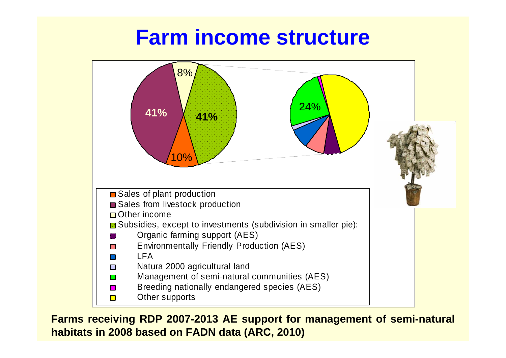### **Farm income structure**



**Farms receiving RDP 2007-2013 AE support for management of semi-natural habitats in 2008 based on FADN data (ARC, 2010)**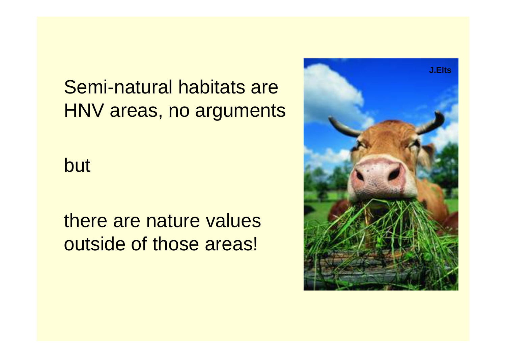Semi-natural habitats are HNV areas, no arguments

but

there are nature values outside of those areas!

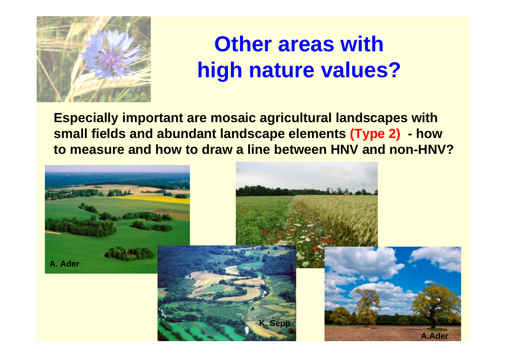

## **Other areas** with **high nature values?**

**Especially important are mosaic agricultural landscapes with small fields and abundant landscape elements (Type 2) - how to measure and how to draw a line between HNV and non-HNV?**

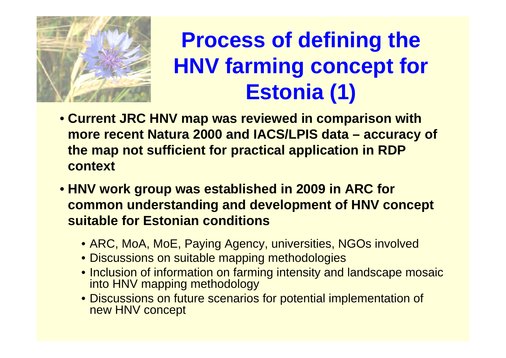

## **Process of defining the HNV farming concept for Estonia (1)**

- **Current JRC HNV map was reviewed in comparison with more recent Natura 2000 and IACS/LPIS data – accuracy of the map not sufficient for practical application in RDP context**
- **HNV work group was established in 2009 in ARC for common understanding and development of HNV concept suitable for Estonian conditions** 
	- ARC, MoA, MoE, Paying Agency, universities, NGOs involved
	- Discussions on suitable mapping methodologies
	- Inclusion of information on farming intensity and landscape mosaic into HNV mapping methodology
	- Discussions on future scenarios for potential implementation of new HNV concept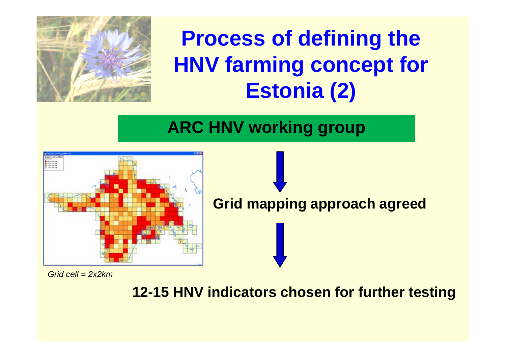

## **Process of defining the HNV farming concept for Estonia (2)**

### **ARC HNV working group**



*Grid cell = 2x2km*

**12-15 HNV indicators chosen for further testing**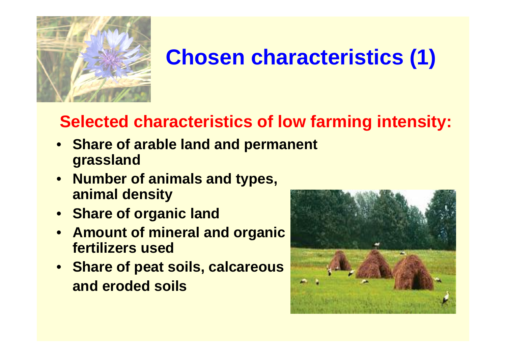

# **Chosen characteristics (1)**

### **Selected characteristics of low farming intensity:**

- **Share of arable land and permanent grassland**
- **Number of animals and types, animal density**
- **Share of organic land**
- • **Amount of mineral and organic fertilizers used**
- **Share of peat soils, calcareous and eroded soils**

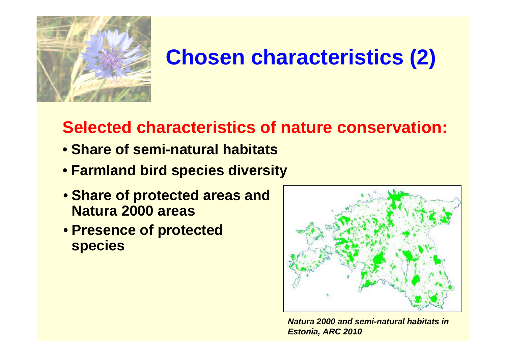

## **Chosen characteristics (2)**

### **Selected characteristics of nature conservation:**

- **Share of semi-natural habitats**
- **Farmland bird species diversity**
- **Share of protected areas and Natura 2000 areas**
- **Presence of protected species**



*Natura 2000 and semi-natural habitats in Estonia, ARC 2010*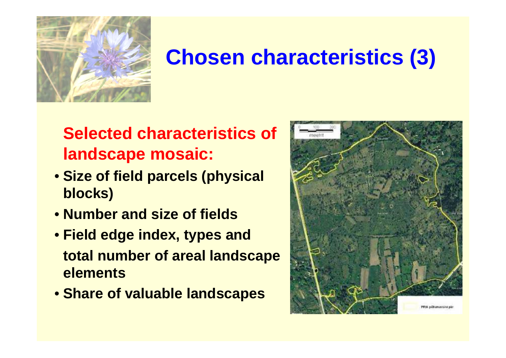

## **Chosen characteristics (3)**

### **Selected characteristics of landscape mosaic:**

- **Size of field parcels (physical blocks)**
- **Number and size of fields**
- **Field edge index, types and total number of areal landscape elements**
- **Share of valuable landscapes**

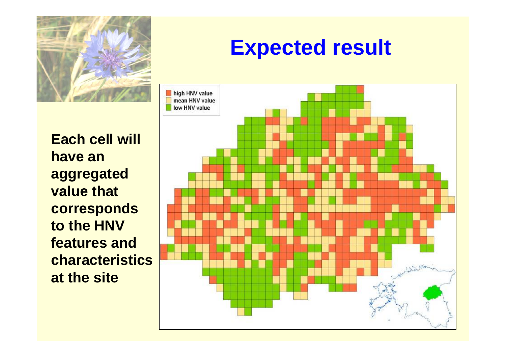

**Each cell will have an aggregated value that corresponds to the HNV features and characteristics at the site**

## **Expected result**

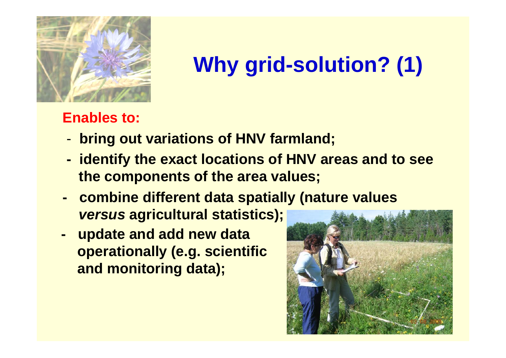![](_page_14_Picture_0.jpeg)

# **Why grid-solution? (1)**

### **Enables to:**

- **bring out variations of HNV farmland;**
- **identify the exact locations of HNV areas and to see the components of the area values;**
- **combine different data spatially (nature values**  *versus* **agricultural statistics);**
- **update and add new data operationally (e.g. scientific and monitoring data);**

![](_page_14_Picture_7.jpeg)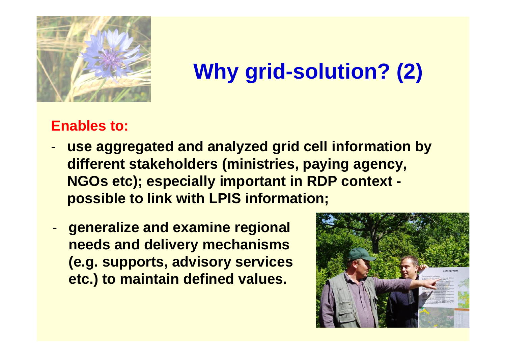![](_page_15_Picture_0.jpeg)

# **Why grid-solution? (2)**

### **Enables to:**

- **use aggregated and analyzed grid cell information by different stakeholders (ministries, paying agency, NGOs etc); especially important in RDP context possible to link with LPIS information;**
- **generalize and examine regional needs and delivery mechanisms (e.g. supports, advisory services etc.) to maintain defined values.**

![](_page_15_Picture_5.jpeg)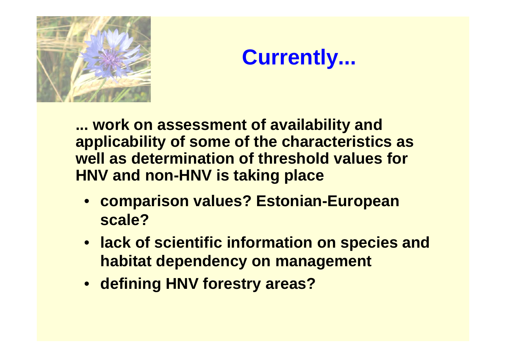![](_page_16_Picture_0.jpeg)

![](_page_16_Picture_1.jpeg)

**... work on assessment of availability and applicability of some of the characteristics as well as determination of threshold values for HNV and non-HNV is taking place**

- **comparison values? Estonian-European scale?**
- **lack of scientific information on species and habitat dependency on management**
- **defining HNV forestry areas?**